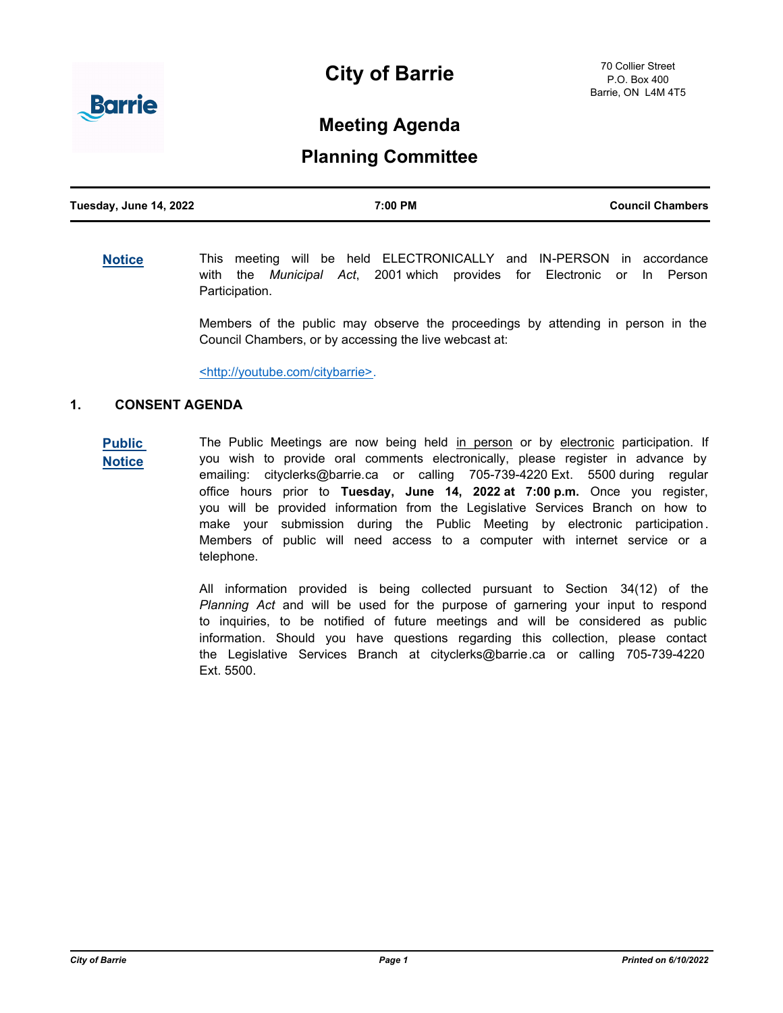# **City of Barrie**



## **Meeting Agenda**

## **Planning Committee**

| Tuesday, June 14, 2022 | 7:00 PM | <b>Council Chambers</b> |
|------------------------|---------|-------------------------|
|                        |         |                         |

**[Notice](http://barrie.ca.legistar.com/gateway.aspx?m=l&id=/matter.aspx?key=46586)** This meeting will be held ELECTRONICALLY and IN-PERSON in accordance with the *Municipal Act*, 2001 which provides for Electronic or In Person Participation.

> Members of the public may observe the proceedings by attending in person in the Council Chambers, or by accessing the live webcast at:

<http://youtube.com/citybarrie>.

## **1. CONSENT AGENDA**

**[Public](http://barrie.ca.legistar.com/gateway.aspx?m=l&id=/matter.aspx?key=46530)  Notice** The Public Meetings are now being held in person or by electronic participation. If you wish to provide oral comments electronically, please register in advance by emailing: cityclerks@barrie.ca or calling 705-739-4220 Ext. 5500 during regular office hours prior to **Tuesday, June 14, 2022 at 7:00 p.m.** Once you register, you will be provided information from the Legislative Services Branch on how to make your submission during the Public Meeting by electronic participation. Members of public will need access to a computer with internet service or a telephone.

> All information provided is being collected pursuant to Section 34(12) of the *Planning Act* and will be used for the purpose of garnering your input to respond to inquiries, to be notified of future meetings and will be considered as public information. Should you have questions regarding this collection, please contact the Legislative Services Branch at cityclerks@barrie.ca or calling 705-739-4220 Ext. 5500.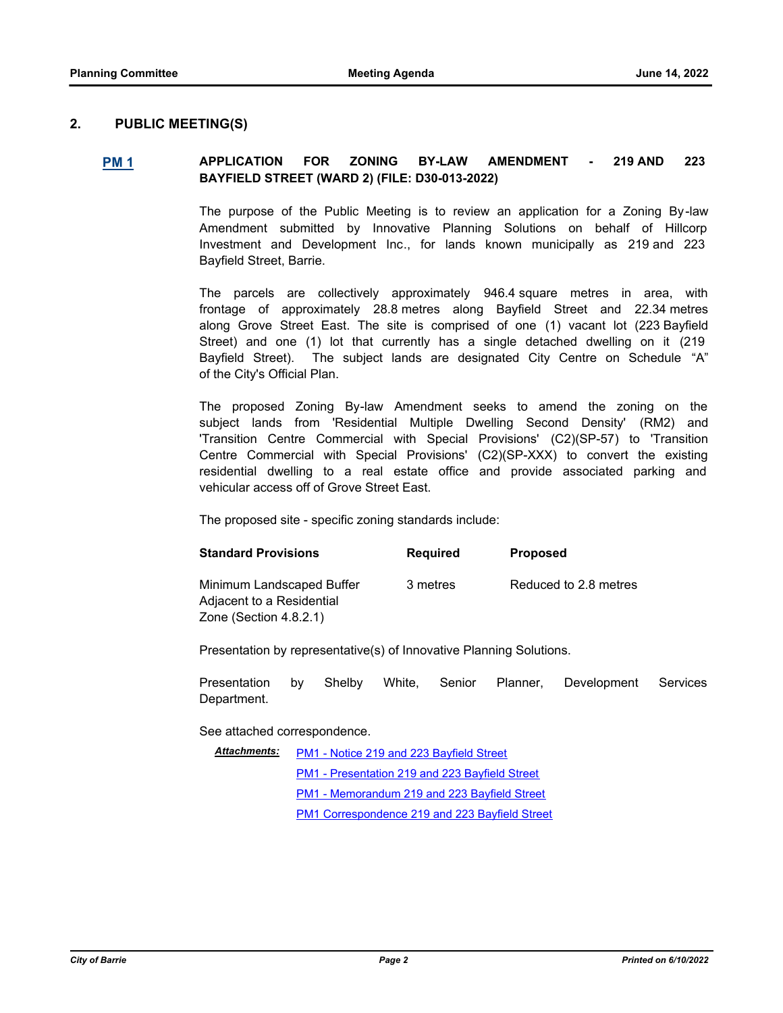### **2. PUBLIC MEETING(S)**

## **[PM 1](http://barrie.ca.legistar.com/gateway.aspx?m=l&id=/matter.aspx?key=50714) APPLICATION FOR ZONING BY-LAW AMENDMENT - 219 AND 223 BAYFIELD STREET (WARD 2) (FILE: D30-013-2022)**

The purpose of the Public Meeting is to review an application for a Zoning By-law Amendment submitted by Innovative Planning Solutions on behalf of Hillcorp Investment and Development Inc., for lands known municipally as 219 and 223 Bayfield Street, Barrie.

The parcels are collectively approximately 946.4 square metres in area, with frontage of approximately 28.8 metres along Bayfield Street and 22.34 metres along Grove Street East. The site is comprised of one (1) vacant lot (223 Bayfield Street) and one (1) lot that currently has a single detached dwelling on it (219 Bayfield Street). The subject lands are designated City Centre on Schedule "A" of the City's Official Plan.

The proposed Zoning By-law Amendment seeks to amend the zoning on the subject lands from 'Residential Multiple Dwelling Second Density' (RM2) and 'Transition Centre Commercial with Special Provisions' (C2)(SP-57) to 'Transition Centre Commercial with Special Provisions' (C2)(SP-XXX) to convert the existing residential dwelling to a real estate office and provide associated parking and vehicular access off of Grove Street East.

The proposed site - specific zoning standards include:

| <b>Standard Provisions</b>                                                          | <b>Required</b> | <b>Proposed</b>       |
|-------------------------------------------------------------------------------------|-----------------|-----------------------|
| Minimum Landscaped Buffer<br>Adjacent to a Residential<br>Zone (Section $4.8.2.1$ ) | 3 metres        | Reduced to 2.8 metres |
|                                                                                     |                 |                       |

Presentation by representative(s) of Innovative Planning Solutions.

Presentation by Shelby White, Senior Planner, Development Services Department.

See attached correspondence.

| <b>Attachments:</b> | PM1 - Notice 219 and 223 Bayfield Street       |
|---------------------|------------------------------------------------|
|                     | PM1 - Presentation 219 and 223 Bayfield Street |
|                     | PM1 - Memorandum 219 and 223 Bayfield Street   |
|                     | PM1 Correspondence 219 and 223 Bayfield Street |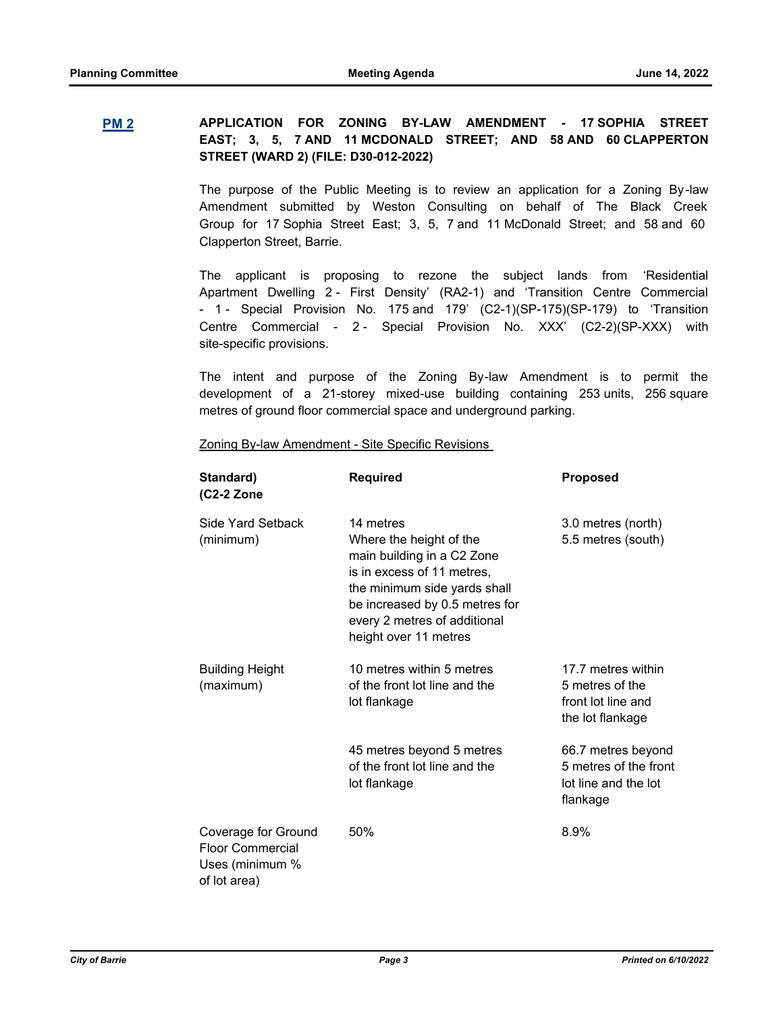**[PM 2](http://barrie.ca.legistar.com/gateway.aspx?m=l&id=/matter.aspx?key=50715) APPLICATION FOR ZONING BY-LAW AMENDMENT - 17 SOPHIA STREET EAST; 3, 5, 7 AND 11 MCDONALD STREET; AND 58 AND 60 CLAPPERTON STREET (WARD 2) (FILE: D30-012-2022)**

> The purpose of the Public Meeting is to review an application for a Zoning By-law Amendment submitted by Weston Consulting on behalf of The Black Creek Group for 17 Sophia Street East; 3, 5, 7 and 11 McDonald Street; and 58 and 60 Clapperton Street, Barrie.

> The applicant is proposing to rezone the subject lands from 'Residential Apartment Dwelling 2 - First Density' (RA2-1) and 'Transition Centre Commercial - 1 - Special Provision No. 175 and 179' (C2-1)(SP-175)(SP-179) to 'Transition Centre Commercial - 2 - Special Provision No. XXX' (C2-2)(SP-XXX) with site-specific provisions.

> The intent and purpose of the Zoning By-law Amendment is to permit the development of a 21-storey mixed-use building containing 253 units, 256 square metres of ground floor commercial space and underground parking.

Zoning By-law Amendment - Site Specific Revisions

| Standard)<br>(C2-2 Zone                                                           | <b>Required</b>                                                                                                                                                                                                             | <b>Proposed</b>                                                                 |
|-----------------------------------------------------------------------------------|-----------------------------------------------------------------------------------------------------------------------------------------------------------------------------------------------------------------------------|---------------------------------------------------------------------------------|
| <b>Side Yard Setback</b><br>(minimum)                                             | 14 metres<br>Where the height of the<br>main building in a C2 Zone<br>is in excess of 11 metres,<br>the minimum side yards shall<br>be increased by 0.5 metres for<br>every 2 metres of additional<br>height over 11 metres | 3.0 metres (north)<br>5.5 metres (south)                                        |
| <b>Building Height</b><br>(maximum)                                               | 10 metres within 5 metres<br>of the front lot line and the<br>lot flankage                                                                                                                                                  | 17.7 metres within<br>5 metres of the<br>front lot line and<br>the lot flankage |
|                                                                                   | 45 metres beyond 5 metres<br>of the front lot line and the<br>lot flankage                                                                                                                                                  | 66.7 metres beyond<br>5 metres of the front<br>lot line and the lot<br>flankage |
| Coverage for Ground<br><b>Floor Commercial</b><br>Uses (minimum %<br>of lot area) | 50%                                                                                                                                                                                                                         | 8.9%                                                                            |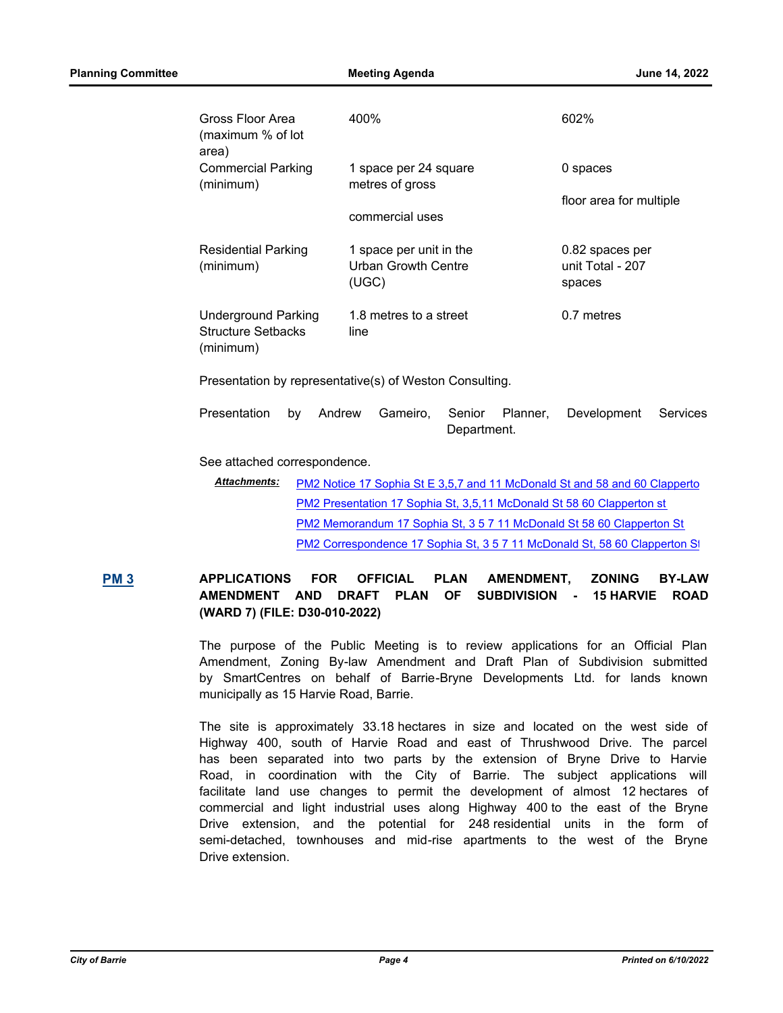| Gross Floor Area<br>(maximum % of lot<br>area)                | 400%                                                        | 602%                                          |
|---------------------------------------------------------------|-------------------------------------------------------------|-----------------------------------------------|
| <b>Commercial Parking</b><br>(minimum)                        | 1 space per 24 square<br>metres of gross<br>commercial uses | 0 spaces<br>floor area for multiple           |
| <b>Residential Parking</b><br>(minimum)                       | 1 space per unit in the<br>Urban Growth Centre<br>(UGC)     | 0.82 spaces per<br>unit Total - 207<br>spaces |
| Underground Parking<br><b>Structure Setbacks</b><br>(minimum) | 1.8 metres to a street<br>line                              | $0.7$ metres                                  |

Presentation by representative(s) of Weston Consulting.

|  |  |             | Presentation by Andrew Gameiro, Senior Planner, Development Services |  |
|--|--|-------------|----------------------------------------------------------------------|--|
|  |  | Department. |                                                                      |  |

See attached correspondence.

[PM2 Notice 17 Sophia St E 3,5,7 and 11 McDonald St and 58 and 60 Clapperto](http://barrie.ca.legistar.com/gateway.aspx?M=F&ID=9ecdbe34-668f-4921-a0aa-97ff882220a0.pdf) [PM2 Presentation 17 Sophia St, 3,5,11 McDonald St 58 60 Clapperton st](http://barrie.ca.legistar.com/gateway.aspx?M=F&ID=5e9a2bb7-38be-4d55-8451-b3e68c0eb328.pdf) [PM2 Memorandum 17 Sophia St, 3 5 7 11 McDonald St 58 60 Clapperton St](http://barrie.ca.legistar.com/gateway.aspx?M=F&ID=d3119b0d-c1f9-4dc7-a8b2-4093a8945664.pdf) [PM2 Correspondence 17 Sophia St, 3 5 7 11 McDonald St, 58 60 Clapperton St](http://barrie.ca.legistar.com/gateway.aspx?M=F&ID=9fa9e27f-5bbc-45ec-8bb8-91da0a827a9e.pdf) *Attachments:*

**[PM 3](http://barrie.ca.legistar.com/gateway.aspx?m=l&id=/matter.aspx?key=50732) APPLICATIONS FOR OFFICIAL PLAN AMENDMENT, ZONING BY-LAW AMENDMENT AND DRAFT PLAN OF SUBDIVISION - 15 HARVIE ROAD (WARD 7) (FILE: D30-010-2022)**

> The purpose of the Public Meeting is to review applications for an Official Plan Amendment, Zoning By-law Amendment and Draft Plan of Subdivision submitted by SmartCentres on behalf of Barrie-Bryne Developments Ltd. for lands known municipally as 15 Harvie Road, Barrie.

> The site is approximately 33.18 hectares in size and located on the west side of Highway 400, south of Harvie Road and east of Thrushwood Drive. The parcel has been separated into two parts by the extension of Bryne Drive to Harvie Road, in coordination with the City of Barrie. The subject applications will facilitate land use changes to permit the development of almost 12 hectares of commercial and light industrial uses along Highway 400 to the east of the Bryne Drive extension, and the potential for 248 residential units in the form of semi-detached, townhouses and mid-rise apartments to the west of the Bryne Drive extension.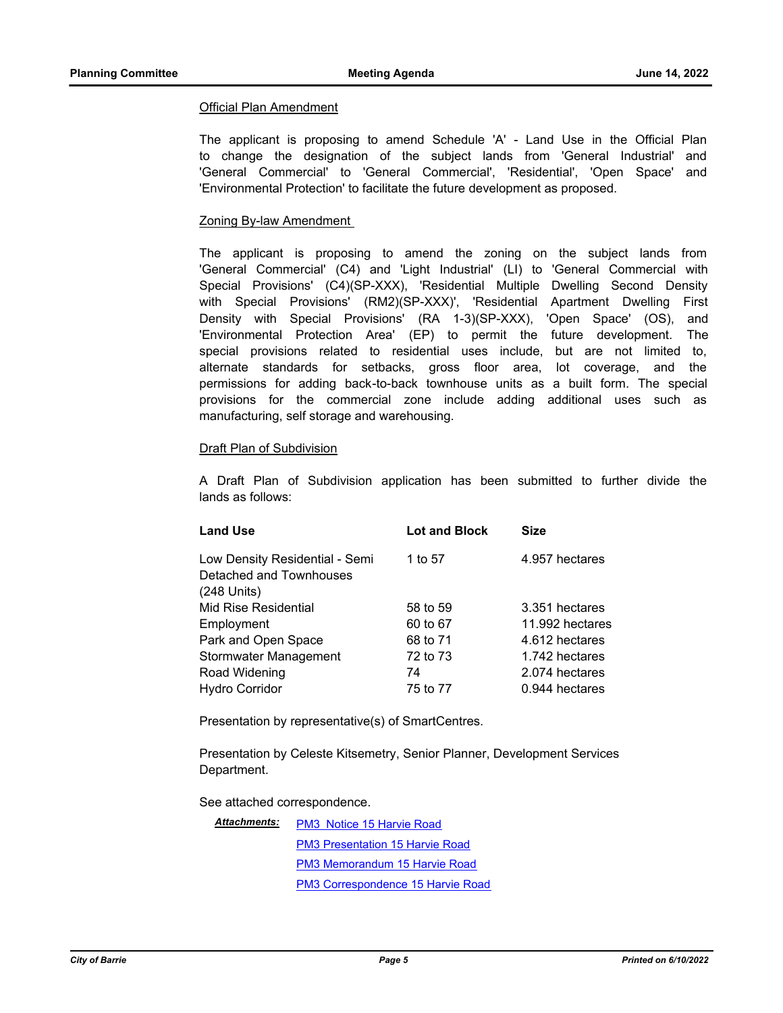#### Official Plan Amendment

The applicant is proposing to amend Schedule 'A' - Land Use in the Official Plan to change the designation of the subject lands from 'General Industrial' and 'General Commercial' to 'General Commercial', 'Residential', 'Open Space' and 'Environmental Protection' to facilitate the future development as proposed.

#### Zoning By-law Amendment

The applicant is proposing to amend the zoning on the subject lands from 'General Commercial' (C4) and 'Light Industrial' (LI) to 'General Commercial with Special Provisions' (C4)(SP-XXX), 'Residential Multiple Dwelling Second Density with Special Provisions' (RM2)(SP-XXX)', 'Residential Apartment Dwelling First Density with Special Provisions' (RA 1-3)(SP-XXX), 'Open Space' (OS), and 'Environmental Protection Area' (EP) to permit the future development. The special provisions related to residential uses include, but are not limited to, alternate standards for setbacks, gross floor area, lot coverage, and the permissions for adding back-to-back townhouse units as a built form. The special provisions for the commercial zone include adding additional uses such as manufacturing, self storage and warehousing.

#### Draft Plan of Subdivision

A Draft Plan of Subdivision application has been submitted to further divide the lands as follows:

| <b>Land Use</b>                                                            | <b>Lot and Block</b> | <b>Size</b>     |
|----------------------------------------------------------------------------|----------------------|-----------------|
| Low Density Residential - Semi<br>Detached and Townhouses<br>$(248$ Units) | 1 to 57              | 4.957 hectares  |
| Mid Rise Residential                                                       | 58 to 59             | 3.351 hectares  |
| Employment                                                                 | 60 to 67             | 11.992 hectares |
| Park and Open Space                                                        | 68 to 71             | 4.612 hectares  |
| Stormwater Management                                                      | 72 to 73             | 1.742 hectares  |
| Road Widening                                                              | 74                   | 2.074 hectares  |
| <b>Hydro Corridor</b>                                                      | 75 to 77             | 0.944 hectares  |

Presentation by representative(s) of SmartCentres.

Presentation by Celeste Kitsemetry, Senior Planner, Development Services Department.

See attached correspondence.

| Attachments: | <b>PM3</b> Notice 15 Harvie Road         |
|--------------|------------------------------------------|
|              | <b>PM3 Presentation 15 Harvie Road</b>   |
|              | <b>PM3 Memorandum 15 Harvie Road</b>     |
|              | <b>PM3 Correspondence 15 Harvie Road</b> |